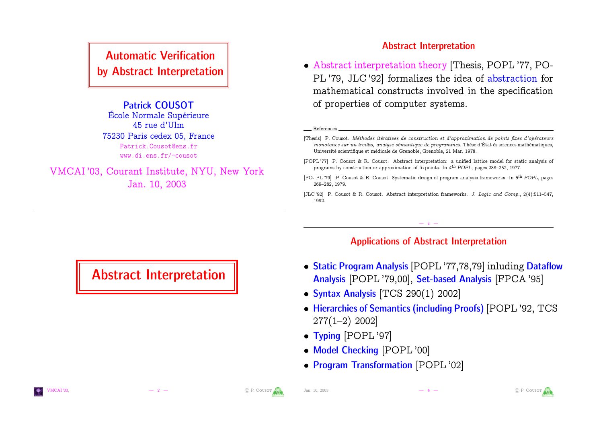## Automatic Verification by Abstract Interpretation

#### Patrick COUSOT

École Normale Supérieure 45 rue d'Ulm 75230 Paris cedex 05, France [Patrick.Cousot@ens.fr](http://www.di.ens.fr/protect unhbox voidb@x penalty @M  {}cousot/publications.www/slides/CousotP_Slides_VMCAI03_1-1.pdfmailto:Patrick.Cousot@ens.fr) [www.di.ens.fr/~cousot](http://www.di.ens.fr/~cousot)

VMCAI'03, Courant [Institute,](http://www.cs.nyu.edu/) [NYU,](http://www.nyu.edu/) New York Jan. 10, 2003

#### Abstract Interpretation

› Abstract interpretation theory [Thesis, POPL '77, PO-PL '79, JLC '92] formalizes the idea of abstraction for mathematical constructs involved in the specification of properties of computer systems.

#### References

[Thesis] P. Cousot. Méthodes itératives de construction et d'approximation de points fixes d'opérateurs monotones sur un treillis, analyse sémantique de programmes. Thèse d'État ès sciences mathématiques, Université scientifique et médicale de Grenoble, Grenoble, 21 Mar. 1978.

[POPL '77] P. Cousot & R. Cousot. Abstract interpretation: a unified lattice model for static analysis of programs by construction or approximation of fixpoints. In  $4^{th}$  POPL, pages 238–252, 1977.

[PO- PL '79] P. Cousot & R. Cousot. Systematic design of program analysis frameworks. In  $6^{th}$  POPL, pages 269–282, 1979.

[JLC '92] P. Cousot & R. Cousot. Abstract interpretation frameworks. J. Logic and Comp., 2(4):511–547, 1992.

## <span id="page-0-0"></span>Abstract Interpretation

### Applications of Abstract Interpretation

— 3 —

- Static Program Analysis [POPL '77,78,79] inluding Dataflow Analysis [POPL '79,00], Set-based Analysis [FPCA '95]
- Syntax Analysis [TCS 290(1) 2002]
- Hierarchies of Semantics (including Proofs) [POPL '92, TCS 277(1–2) 2002]
- Typing [POPL '97]
- Model Checking [POPL '00]
- › Program Transformation [POPL '02]





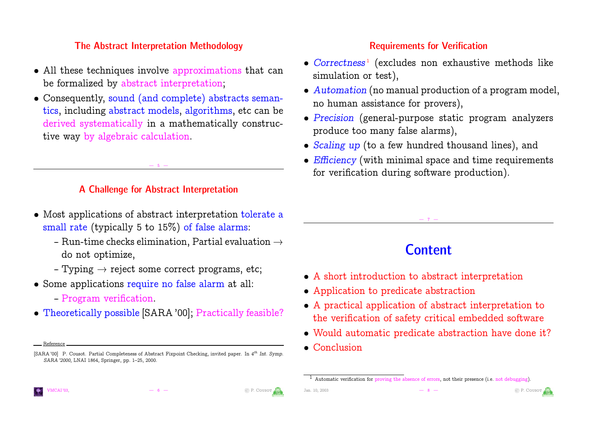### The Abstract Interpretation Methodology

- All these techniques involve approximations that can be formalized by abstract interpretation;
- › Consequently, sound (and complete) abstracts semantics, including abstract models, algorithms, etc can be derived systematically in a mathematically constructive way by algebraic calculation.

### A Challenge for Abstract Interpretation

— 5 —

- › Most applications of abstract interpretation tolerate a small rate (typically 5 to 15%) of false alarms:
	- Run-time checks elimination, Partial evaluation  $\rightarrow$ do not optimize,
	- $-$  Typing  $\rightarrow$  reject some correct programs, etc;
- › Some applications require no false alarm at all:
	- Program verification.
- Theoretically possible [SARA '00]; Practically feasible?

### Requirements for Verification

- Correctness<sup>[1](#page-1-0)</sup> (excludes non exhaustive methods like simulation or test),
- Automation (no manual production of a program model, no human assistance for provers),
- Precision (general-purpose static program analyzers produce too many false alarms),
- Scaling up (to a few hundred thousand lines), and
- <span id="page-1-0"></span>• Efficiency (with minimal space and time requirements for verification during software production).

## **Content**

— 7 —

- A short introduction to abstract [interpretation](#page-2-0)
- › [Application](#page-14-0) to predicate abstraction
- › A practical application of abstract [interpretation](#page-17-0) to the [verification](#page-17-0) of safety critical embedded software
- Would automatic predicate [abstraction](#page-22-0) have done it?
- › [Conclusion](#page-23-0)





Reference

<sup>[</sup>SARA '00] P. Cousot. Partial Completeness of Abstract Fixpoint Checking, invited paper. In  $4^{th}$  Int. Symp. SARA '2000, LNAI 1864, Springer, pp. 1–25, 2000.

<sup>1</sup> Automatic verification for proving the absence of errors, not their presence (i.e. not debugging).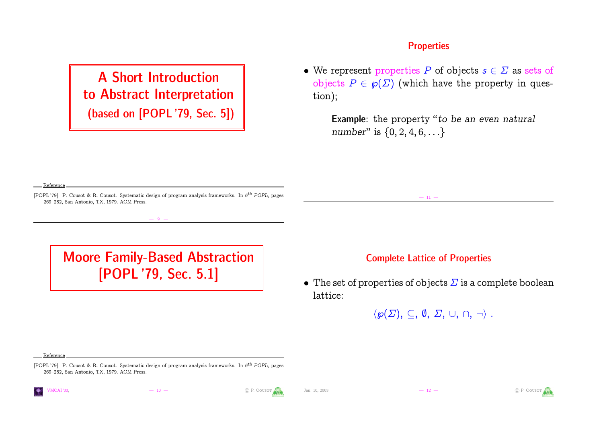A Short Introduction to Abstract Interpretation (based on [\[POPL](#page-2-1) '79, Sec. 5])

• We represent properties P of objects  $s \in \Sigma$  as sets of objects  $P \in \mathcal{P}(\Sigma)$  (which have the property in question);

**Properties** 

Example: the property "to be an even natural number" is  $\{0, 2, 4, 6, ...\}$ 

#### Reference

<span id="page-2-1"></span><span id="page-2-0"></span>[POPL '79] P. Cousot & R. Cousot. Systematic design of program analysis frameworks. In 6<sup>th</sup> POPL, pages 269–282, San Antonio, TX, 1979. ACM Press.

— 9 —

Moore Family-Based Abstraction [\[POPL](#page-2-2) '79, Sec. 5.1]

#### Complete Lattice of Properties

 $-$  11  $-$ 

• The set of properties of objects  $\Sigma$  is a complete boolean lattice:

 $\langle \wp(\Sigma), \subseteq, \emptyset, \Sigma, \cup, \cap, \neg \rangle$ .

Reference

<span id="page-2-2"></span>[POPL '79] P. Cousot & R. Cousot. Systematic design of program analysis frameworks. In 6<sup>th</sup> POPL, pages 269–282, San Antonio, TX, 1979. ACM Press.



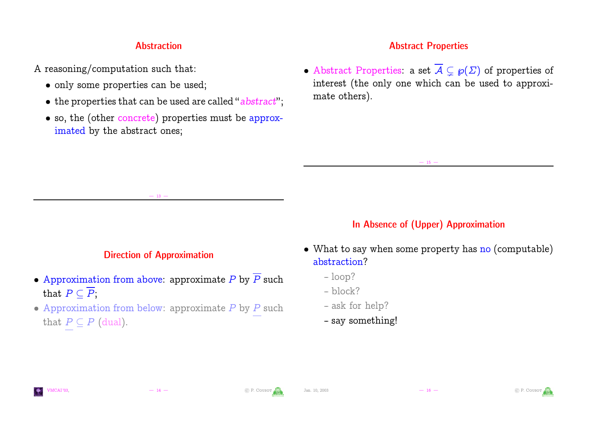#### Abstraction

A reasoning/computation such that:

- only some properties can be used;
- $\bullet$  the properties that can be used are called "abstract";
- so, the (other concrete) properties must be approximated by the abstract ones;

### Abstract Properties

• Abstract Properties: a set  $\overline{A} \subsetneq \wp(\Sigma)$  of properties of interest (the only one which can be used to approximate others).

 $-15 -$ 

### In Absence of (Upper) Approximation

- $\bullet$  What to say when some property has no (computable) abstraction?
	- loop?
	- $-$  block?
	- ask for help?
	- say something!



 $-13 -$ 

- Approximation from above: approximate P by  $\overline{P}$  such that  $P \subseteq \overline{P}$ ;
- $\bullet$  Approximation from below: approximate P by P such that  $P \subseteq P$  (dual).



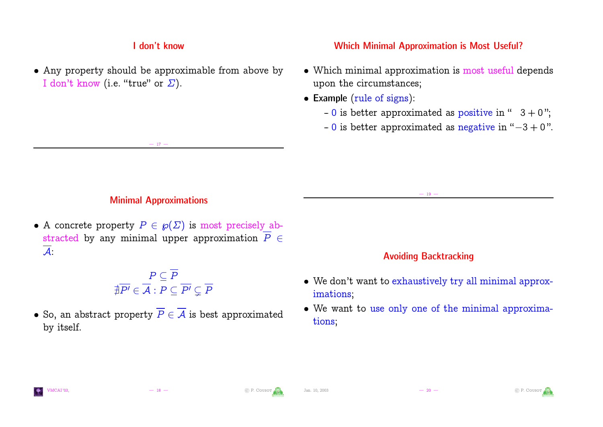#### I don't know

• Any property should be approximable from above by I don't know (i.e. "true" or  $\Sigma$ ).

#### Which Minimal Approximation is Most Useful?

- Which minimal approximation is most useful depends upon the circumstances;
- Example (rule of signs):
	- $-0$  is better approximated as positive in "  $3 + 0$ ";
	- $-0$  is better approximated as negative in " $-3 + 0$ ".

— 17 —

#### Minimal Approximations

• A concrete property  $P \in \mathcal{P}(\Sigma)$  is most precisely abstracted by any minimal upper approximation  $\overline{P} \in$  $\overline{A}$ :

> $P \subseteq P$  $\nexists P'\in\mathcal{A}:P\subseteq P'\subsetneq P$

• So, an abstract property  $\overline{P} \in \overline{A}$  is best approximated by itself.

#### Avoiding Backtracking

 $-19 -$ 

- We don't want to exhaustively try all minimal approximations;
- We want to use only one of the minimal approximations;



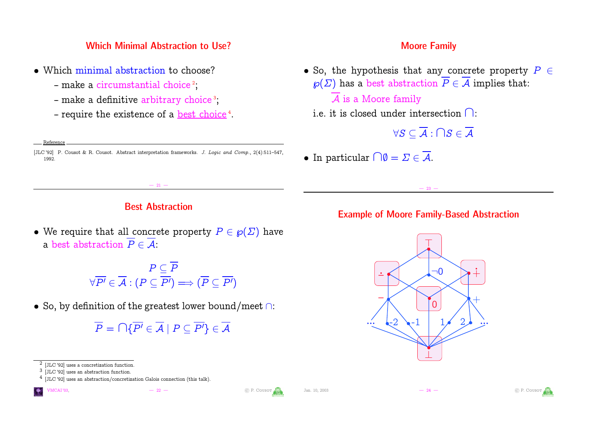#### <span id="page-5-0"></span>Which Minimal Abstraction to Use?

- Which minimal abstraction to c[ho](#page-5-0)ose?
	- make a circumstantial choice<sup>2</sup>;
	- make a definitive arbitrary choice  $^3;$  $^3;$  $^3;$
	- require the existence of a **best choice**<sup>[4](#page-5-2)</sup>.

Reference

[JLC '92] P. Cousot & R. Cousot. Abstract interpretation frameworks. J. Logic and Comp., 2(4):511–547, 1992.

## Best Abstraction

<span id="page-5-2"></span><span id="page-5-1"></span> $-$  21  $-$ 

• We require that all concrete property  $P \in \mathcal{P}(\Sigma)$  have a best abstraction  $\overline{P} \in \overline{A}$ :

$$
\overline{P} \subseteq \overline{P}
$$
  

$$
\forall \overline{P'} \in \overline{A} : (P \subseteq \overline{P'}) \Longrightarrow (\overline{P} \subseteq \overline{P'})
$$

• So, by definition of the greatest lower bound/meet  $\cap$ :

<sup>4</sup> [JLC '92] uses an abstraction/concretization Galois connection (this talk).





#### Moore Family

- So, the hypothesis that any concrete property  $P \in$  $\wp(\Sigma)$  has a best abstraction  $\overline{P} \in \overline{\mathcal{A}}$  implies that:  $\overline{\mathcal{A}}$  is a Moore family
	- i.e. it is closed under intersection  $\bigcap$ :

 $\forall S \subset \overline{A} : \bigcap S \in \overline{A}$ 

• In particular  $\bigcap \emptyset = \Sigma \in \overline{\mathcal{A}}$ .

### Example of Moore Family-Based Abstraction

 $-23$ 







 $\overline{P} = \bigcap \{ \overline{P'} \in \overline{\mathcal{A}} \mid P \subseteq \overline{P'} \} \in \overline{\mathcal{A}}$ 

<sup>2</sup> [JLC '92] uses a concretization function.

 $3$  [JLC '92] uses an abstraction function.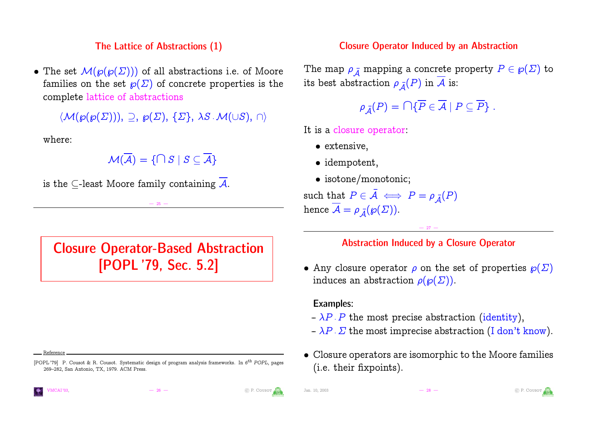#### The Lattice of Abstractions (1)

• The set  $\mathcal{M}(\wp(\wp(\Sigma)))$  of all abstractions i.e. of Moore families on the set  $\wp(\Sigma)$  of concrete properties is the complete lattice of abstractions

 $\langle \mathcal{M}(\wp(\wp(\Sigma))) , \supset , \wp(\Sigma), \{\Sigma\}, \lambda S, \mathcal{M}(\cup S), \cap \rangle$ 

where:

 $M(\overline{A}) = \{\bigcap S \mid S \subseteq \overline{A}\}\$ 

is the  $\subset$ -least Moore family containing A.

Closure Operator-Based Abstraction [\[POPL](#page-6-0) '79, Sec. 5.2]

 $-$  25  $-$ 

#### Reference

<span id="page-6-0"></span>[POPL '79] P. Cousot & R. Cousot. Systematic design of program analysis frameworks. In 6<sup>th</sup> POPL, pages 269–282, San Antonio, TX, 1979. ACM Press.

#### Closure Operator Induced by an Abstraction

The map  $\rho_{\bar{A}}$  mapping a concrete property  $P \in \wp(\Sigma)$  to its best abstraction  $\rho_{\bar{A}}(P)$  in A is:

 $\rho_{\bar{A}}(P) = \bigcap \{ \overline{P} \in \overline{A} \mid P \subseteq \overline{P} \}$ .

It is a closure operator:

- › extensive,
- idempotent,
- isotone/monotonic;

such that  $P \in \mathcal{A} \iff P = \rho_{\bar{A}}(P)$ hence  $\overline{\mathcal{A}} = \rho_{\overline{\mathcal{A}}}(\wp(\Sigma)).$ 

#### Abstraction Induced by a Closure Operator

 $-27 -$ 

• Any closure operator  $\rho$  on the set of properties  $\rho(\Sigma)$ induces an abstraction  $\rho(\wp(\Sigma))$ .

#### Examples:

- $-\lambda P \cdot P$  the most precise abstraction (identity),
- $-\lambda P \cdot \Sigma$  the most imprecise abstraction (I don't know).
- › Closure operators are isomorphic to the Moore families (i.e. their fixpoints).



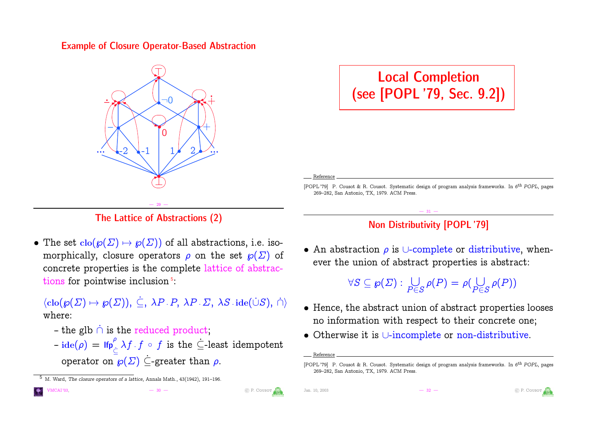#### Example of Closure Operator-Based Abstraction



<span id="page-7-0"></span>

• The set  $\text{clo}(\wp(\Sigma) \mapsto \wp(\Sigma))$  of all abstractions, i.e. isomorphically, closure operators  $\rho$  on the set  $\rho(\Sigma)$  of concrete properties is the c[om](#page-7-0)plete lattice of abstractions for pointwise inclusion<sup>5</sup>:

 $\langle \text{clo}(\wp(\Sigma) \mapsto \wp(\Sigma)), \ \dot{\subseteq}, \ \lambda P \cdot P, \ \lambda P \cdot \Sigma, \ \lambda S \cdot \text{ide}(\dot{\cup} S), \ \dot{\cap} \rangle$ where:

- the glb  $\cap$  is the reduced product;
- $-$  ide $(\rho)$  = lfp<sup>o</sup>  $\int\limits_{\hat{{\mathbb{C}}}}^{\rho} \lambda f\cdot f \ \circ \ f \ \ \text{is the $\hat{{\mathbb{C}}}$-least idempotent}$ operator on  $\wp(\Sigma)$   $\dot{\subset}$ -greater than  $\rho$ .

Local Completion (see [\[POPL](#page-7-1) '79, Sec. 9.2])

Reference

<span id="page-7-1"></span>[POPL '79] P. Cousot & R. Cousot. Systematic design of program analysis frameworks. In 6<sup>th</sup> POPL, pages 269–282, San Antonio, TX, 1979. ACM Press.

#### $-$  31  $-$ Non Distributivity [\[POPL](#page-7-2) '79]

• An abstraction  $\rho$  is  $\cup$ -complete or distributive, whenever the union of abstract properties is abstract:

 $\forall S \subseteq \wp(\varSigma) : \bigcup_{P \in S} \rho(P) = \rho(\bigcup_{P \in S} \rho(P))$ 

- › Hence, the abstract union of abstract properties looses no information with respect to their concrete one;
- $\bullet$  Otherwise it is  $\cup$ -incomplete or non-distributive.

<span id="page-7-2"></span>



 $^5$  M. Ward, The closure operators of a lattice, Annals Math., 43(1942), 191–196.

Reference

<sup>[</sup>POPL '79] P. Cousot & R. Cousot. Systematic design of program analysis frameworks. In 6<sup>th</sup> POPL, pages 269–282, San Antonio, TX, 1979. ACM Press.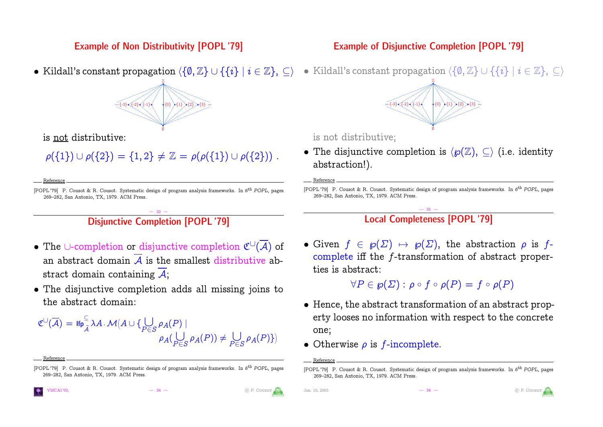#### Example of Non Distributivity [\[POPL](#page-8-0) '79]

• Kildall's constant propagation  $\langle \{\emptyset, \mathbb{Z}\} \cup \{\{i\} \mid i \in \mathbb{Z}\}, \subseteq \rangle$ 

## $\{-3\}\left(-2\right)\left(-1\right)\left(-1\right)\left(1\right)\left(2\right)\left(3\right)$ Ø  $\mathbb Z$

is not distributive:

$$
\rho({1}) \cup \rho({2}) = {1,2} \neq \mathbb{Z} = \rho(\rho({1}) \cup \rho({2})).
$$

Reference

<span id="page-8-0"></span>[POPL '79] P. Cousot & R. Cousot. Systematic design of program analysis frameworks. In 6<sup>th</sup> POPL, pages 269–282, San Antonio, TX, 1979. ACM Press.

#### — 33 — Disjunctive Completion [\[POPL](#page-8-1) '79]

- The  $\cup$ -completion or disjunctive completion  $\mathfrak{C}^{\cup}(\overline{\mathcal{A}})$  of an abstract domain  $\overline{A}$  is the smallest distributive abstract domain containing  $\mathcal{A}$ ;
- The disjunctive completion adds all missing joins to the abstract domain:

$$
\mathfrak{C}^{\cup}(\overline{\mathcal{A}})\,=\,\mathrm{lfp}^\subseteq_{\bar{\mathcal{A}}}\,\lambda A\cdot \mathcal{M}\big(A\cup\{\bigcup_{P\in S}\rho_A(P)\mid \rho_A(\bigcup_{P\in S}\rho_A(P))\neq\bigcup_{P\in S}\rho_A(P)\}\big)
$$

Reference

### Example of Disjunctive Completion [\[POPL](#page-8-2) '79]

• Kildall's constant propagation  $\langle \{\emptyset, \mathbb{Z}\} \cup \{\{i\} \mid i \in \mathbb{Z}\}, \subset \rangle$ 



is not distributive;

• The disjunctive completion is  $\langle \varphi(\mathbb{Z}), \subseteq \rangle$  (i.e. identity abstraction!).

#### Reference

<span id="page-8-2"></span>[POPL '79] P. Cousot & R. Cousot. Systematic design of program analysis frameworks. In  $6^{th}$  POPL, pages 269–282, San Antonio, TX, 1979. ACM Press.

#### $-35 -$ Local Completeness [\[POPL](#page-8-3) '79]

• Given  $f \in \mathcal{P}(\Sigma) \mapsto \mathcal{P}(\Sigma)$ , the abstraction  $\rho$  is fcomplete iff the f-transformation of abstract properties is abstract:

 $\forall P \in \mathcal{P}(\Sigma) : \rho \circ f \circ \rho(P) = f \circ \rho(P)$ 

- › Hence, the abstract transformation of an abstract property looses no information with respect to the concrete one;
- Otherwise  $\rho$  is f-incomplete.







<span id="page-8-1"></span><sup>[</sup>POPL '79] P. Cousot & R. Cousot. Systematic design of program analysis frameworks. In 6<sup>th</sup> POPL, pages 269–282, San Antonio, TX, 1979. ACM Press.

Reference

<span id="page-8-3"></span><sup>[</sup>POPL '79] P. Cousot & R. Cousot. Systematic design of program analysis frameworks. In 6<sup>th</sup> POPL, pages 269–282, San Antonio, TX, 1979. ACM Press.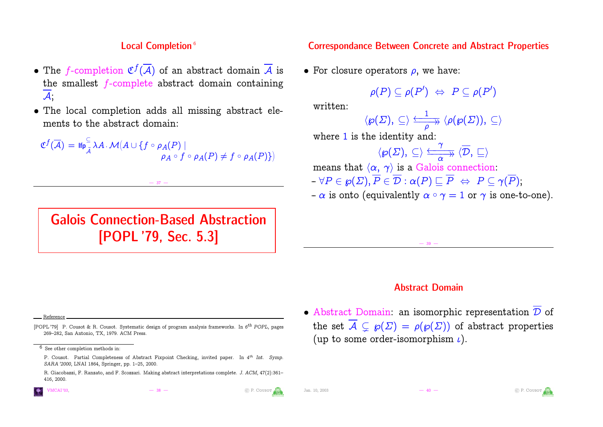#### Local Completion<sup>[6](#page-9-0)</sup>

- The f-completion  $\mathfrak{C}^f(\overline{{\cal A}})$  of an abstract domain  $\overline{{\cal A}}$  is the smallest f-complete abstract domain containing  $\overline{\mathcal{A}}$ :
- › The local completion adds all missing abstract elements to the abstract domain:

<span id="page-9-0"></span> $\mathfrak{C}^f(\overline{\mathcal{A}}) = \mathsf{lfp}^{\subseteq}$  $\frac{1}{\mathcal{A}}\lambda A\cdot \mathcal{M}(A\cup\{f\circ \rho_A(P)\})$  $\rho_A\circ f\circ \rho_A(P)\neq f\circ \rho_A(P)\})$ 

— 37 —

## Galois Connection-Based Abstraction [\[POPL](#page-9-1) '79, Sec. 5.3]

#### Correspondance Between Concrete and Abstract Properties

• For closure operators  $\rho$ , we have:

$$
\rho(P) \subseteq \rho(P') \ \Leftrightarrow \ P \subseteq \rho(P')
$$

written:

$$
\langle \wp(\varSigma),\, \subseteq \rangle \stackrel{\longleftarrow}{\longrightarrow} \langle \rho(\wp(\varSigma)),\, \subseteq \rangle
$$

where 1 is the identity and:

 $\langle \wp(\varSigma),\subseteq\rangle\stackrel{\longleftarrow}{\xrightarrow[\alpha\quad}$  $\gamma$  $\langle \mathcal{D},\sqsubseteq \rangle$ means that  $\langle \alpha, \gamma \rangle$  is a Galois connection:  $-\forall P \in \wp(\varSigma), \overline{P} \in \overline{\mathcal{D}} : \alpha(P) \sqsubseteq \overline{P} \ \Leftrightarrow \ P \subseteq \gamma(\overline{P});$  $-\alpha$  is onto (equivalently  $\alpha \circ \gamma = 1$  or  $\gamma$  is one-to-one).

#### Abstract Domain

— 39 —

• Abstract Domain: an isomorphic representation  $\overline{\mathcal{D}}$  of the set  $\overline{A} \subsetneq \rho(\Sigma) = \rho(\rho(\Sigma))$  of abstract properties (up to some order-isomorphism  $\iota$ ).

Reference

<span id="page-9-1"></span>[POPL '79] P. Cousot & R. Cousot. Systematic design of program analysis frameworks. In 6<sup>th</sup> POPL, pages 269–282, San Antonio, TX, 1979. ACM Press.





 $\overline{6}$  See other completion methods in:

P. Cousot. Partial Completeness of Abstract Fixpoint Checking, invited paper. In 4<sup>th</sup> Int. Symp. SARA '2000, LNAI 1864, Springer, pp. 1–25, 2000.

R. Giacobazzi, F. Ranzato, and F. Scozzari. Making abstract interpretations complete. J. ACM, 47(2):361– 416, 2000.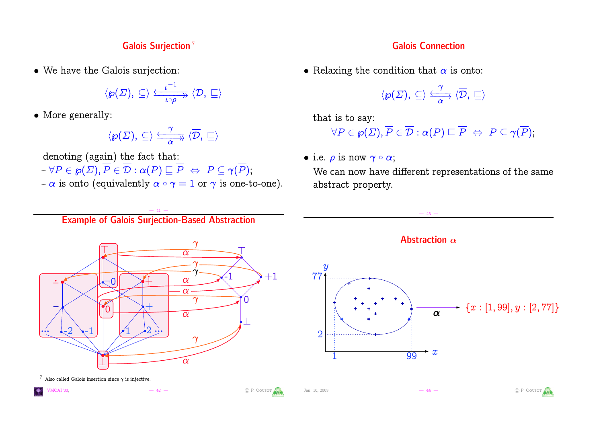#### Galois Surjection<sup>[7](#page-10-0)</sup>

› We have the Galois surjection:

$$
\langle \wp(\varSigma),\, \subseteq \rangle \xrightarrow[\iota\circ\rho]{\iota^{-1}} \langle \overline{\mathcal{D}},\, \sqsubseteq \rangle
$$

• More generally:

$$
\langle \wp(\varSigma),\, \subseteq \rangle \xrightarrow[\alpha \quad \ \ \, \rightarrow \quad \ \langle \overline{\mathcal{D}},\, \sqsubseteq \rangle
$$

denoting (again) the fact that:

- $-\forall P \in \wp(\varSigma), \overline{P} \in \overline{\mathcal{D}} : \alpha(P) \sqsubseteq \overline{P} \ \Leftrightarrow \ P \subseteq \gamma(\overline{P});$
- $-\alpha$  is onto (equivalently  $\alpha \circ \gamma = 1$  or  $\gamma$  is one-to-one).

#### Galois Connection

• Relaxing the condition that  $\alpha$  is onto:

 $\langle \wp(\varSigma),\subseteq\rangle\stackrel{\longleftarrow}{\longrightarrow}$  $\gamma$  $\langle \mathcal{D},\sqsubseteq \rangle$ 

that is to say:

$$
\forall P\in {\wp}(\varSigma), \overline{P}\in \overline{\mathcal{D}}: \alpha(P)\sqsubseteq \overline{P}\ \Leftrightarrow\ P\subseteq \gamma(\overline{P});
$$

• i.e.  $\rho$  is now  $\gamma \circ \alpha$ ;

We can now have different representations of the same abstract property.

<span id="page-10-0"></span>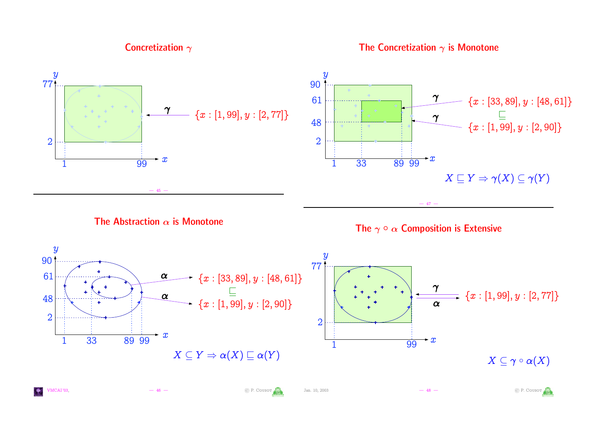Concretization  $\gamma$ 

The Concretization  $\gamma$  is Monotone

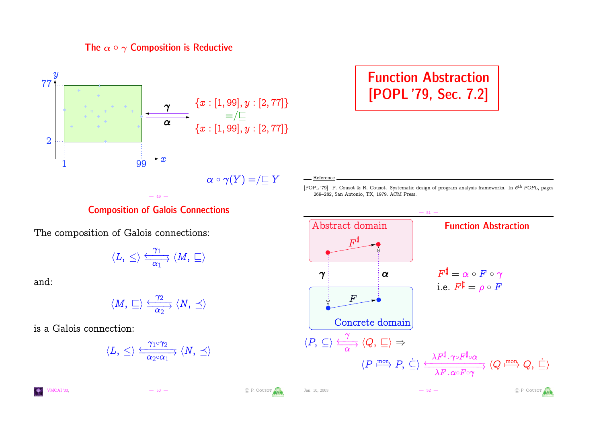#### The  $\alpha \circ \gamma$  Composition is Reductive



#### Composition of Galois Connections

The composition of Galois connections:

$$
\langle L, \leq \rangle \xrightarrow[\alpha_1]{\gamma_1} \langle M, \sqsubseteq \rangle
$$

and:

$$
\langle M, \; \sqsubseteq \rangle \xrightarrow[\alpha_2]{\gamma_2} \langle N, \; \preceq \rangle
$$

is a Galois connection:

$$
\langle L, \, \leq \rangle \xrightarrow[\alpha_2 \circ \alpha_1]{\gamma_1 \circ \gamma_2} \langle N, \, \preceq \rangle
$$

Function Abstraction [\[POPL](#page-12-0) '79, Sec. 7.2]

<span id="page-12-0"></span>Reference

[POPL '79] P. Cousot & R. Cousot. Systematic design of program analysis frameworks. In 6<sup>th</sup> POPL, pages 269–282, San Antonio, TX, 1979. ACM Press.







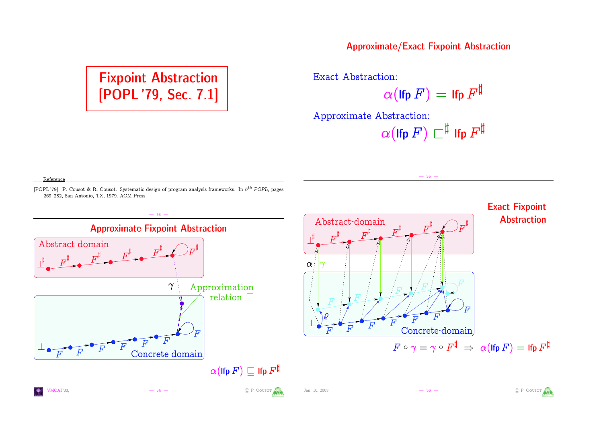#### Approximate/Exact Fixpoint Abstraction

## Fixpoint Abstraction [\[POPL](#page-13-0) '79, Sec. 7.1]

Exact Abstraction:

 $\alpha(\textsf{lfp}\, F) = \textsf{lfp}\, F^\sharp$ 

Approximate Abstraction:

$$
\alpha(\text{Ifp }F)\sqsubset^{\sharp}\text{ Ifp }F^{\sharp}
$$

 $-55$ 

Reference

<span id="page-13-0"></span>[POPL '79] P. Cousot & R. Cousot. Systematic design of program analysis frameworks. In 6<sup>th</sup> POPL, pages 269–282, San Antonio, TX, 1979. ACM Press.

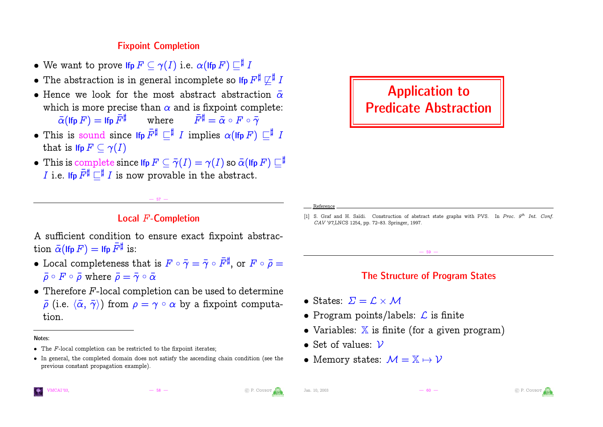#### Fixpoint Completion

- $\bullet\,$  We want to prove Ifp  $F\subseteq \gamma(I)$  i.e.  $\alpha($  Ifp  $F)\sqsubseteq^{\sharp\!\!\! \! \! \perp} I$
- $\bullet$  The abstraction is in general incomplete so Ifp  $F^{\sharp} \not\sqsubseteq^{\sharp} I$
- Hence we look for the most abstract abstraction  $\overline{\alpha}$ which is more precise than  $\alpha$  and is fixpoint complete:  $\bar{\alpha}$ (lfp F) = lfp  $\bar{F}^{\sharp}$  where  $\bar{F}^{\sharp} = \bar{\alpha} \circ F \circ \bar{\gamma}$
- This is sound since lfp  $\bar{F}^\sharp \sqsubseteq^\sharp I$  implies  $\alpha(\text{Ifp }F) \sqsubseteq^\sharp I$
- that is lfp  $F \subset \gamma(I)$ • This is complete since lfp  $F \subseteq \overline{\gamma}(I) = \gamma(I)$  so  $\overline{\alpha}(\text{Ifp } F) \sqsubseteq^{\sharp}$ *I* i.e. Ifp  $\bar{F}^{\sharp} \sqsubseteq^{\sharp} I$  is now provable in the abstract.

## Local F-Completion

 $-57 -$ 

A sufficient condition to ensure exact fixpoint abstraction  $\bar{\alpha}(\text{Ifp }F) = \text{Ifp } \bar{F}^{\sharp}$  is:

- Local completeness that is  $F\circ\bar\gamma=\bar\gamma\circ\bar F^\sharp,$  or  $F\circ\bar\rho=$  $\overline{\rho} \circ F \circ \overline{\rho}$  where  $\overline{\rho} = \overline{\gamma} \circ \overline{\alpha}$
- $\bullet$  Therefore  $F$ -local completion can be used to determine  $\bar{\rho}$  (i.e.  $\langle \bar{\alpha}, \bar{\gamma} \rangle$ ) from  $\rho = \gamma \circ \alpha$  by a fixpoint computation.



Reference

<span id="page-14-0"></span>[1] S. Graf and H. Saïdi. Construction of abstract state graphs with PVS. In Proc. 9th Int. Conf. CAV '97,LNCS 1254, pp. 72–83. Springer, 1997.

#### The Structure of Program States

 $-59 -$ 

- States:  $\Sigma = \mathcal{L} \times \mathcal{M}$
- Program points/labels:  $\mathcal L$  is finite
- Variables:  $X$  is finite (for a given program)
- Set of values:  $V$
- Memory states:  $M = \mathbb{X} \mapsto \mathcal{V}$





Notes:

 $\bullet$  The F-local completion can be restricted to the fixpoint iterates;

<sup>›</sup> In general, the completed domain does not satisfy the ascending chain condition (see the previous constant propagation example).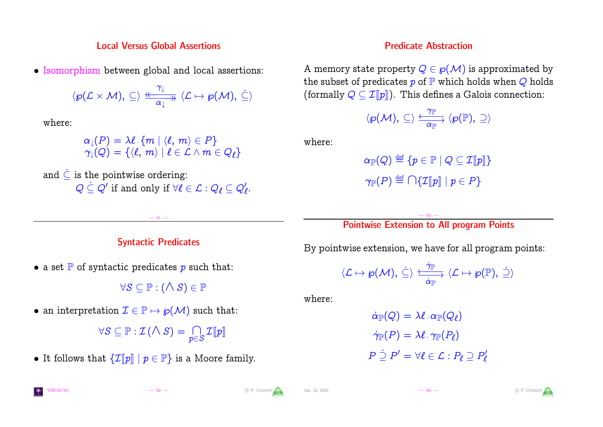#### Local Versus Global Assertions

› Isomorphism between global and local assertions:

$$
\langle \wp({\mathcal L}\times{\mathcal M}),\,\subseteq\rangle\,\stackrel{\gamma_\downarrow}{\xrightarrow[\alpha_\downarrow]}\langle{\mathcal L}\mapsto \wp({\mathcal M}),\,\dot\subseteq\rangle
$$

where:

$$
\alpha_\downarrow(P) = \lambda\ell \cdot \{m \mid \langle \ell,\ m \rangle \in P\} \\\gamma_\downarrow(Q) = \{\langle \ell,\ m \rangle \mid \ell \in \mathcal{L} \land m \in Q_\ell\}
$$

and  $\dot{\subset}$  is the pointwise ordering:  $Q \subseteq Q'$  if and only if  $\forall \ell \in \mathcal{L} : Q_{\ell} \subseteq Q_{\ell}'.$ 

#### Predicate Abstraction

A memory state property  $Q \in \mathcal{P}(\mathcal{M})$  is approximated by the subset of predicates  $p$  of  $\mathbb P$  which holds when  $Q$  holds (formally  $Q \subseteq \mathcal{I}\llbracket p \rrbracket$ ). This defines a Galois connection:

$$
\langle \wp({\mathcal M}),\, \subseteq \rangle \xrightarrow[\alpha_{\mathbb P}]{\gamma_{\mathbb P}} \langle \wp({\mathbb P}),\, \supseteq \rangle
$$

where:

$$
\alpha_{\mathbb{P}}(Q) \stackrel{\text{\tiny def}}{=} \{p \in \mathbb{P} \mid Q \subseteq \mathcal{I}\llbracket p \rrbracket\}
$$
\n
$$
\gamma_{\mathbb{P}}(P) \stackrel{\text{\tiny def}}{=} \bigcap \{\mathcal{I}\llbracket p \rrbracket \mid p \in P\}
$$

 $- 63 -$ Pointwise Extension to All program Points

#### Syntactic Predicates

 $-$  61  $-$ 

• a set  $\mathbb P$  of syntactic predicates p such that:

 $\forall S \subseteq \mathbb{P} : (\bigwedge S) \in \mathbb{P}$ 

• an interpretation  $\mathcal{I} \in \mathbb{P} \mapsto \wp(\mathcal{M})$  such that:

 $\forall S \subseteq \mathbb{P}: \mathcal{I} \left( \bigwedge S \right) = \bigcap_{p \in S} \mathcal{I}\llbracket p \rrbracket$ 

• It follows that  $\{\mathcal{I}\llbracket p\rrbracket \mid p \in \mathbb{P}\}$  is a Moore family.

By pointwise extension, we have for all program points:

$$
\langle \mathcal{L} \mapsto \wp(\mathcal{M}), \ \dot{\subseteq} \rangle \xrightarrow[\dot{\alpha}_\mathbb{P}]{\dot{\gamma}_\mathbb{P}} \langle \mathcal{L} \mapsto \wp(\mathbb{P}), \ \dot{\supseteq} \rangle
$$

where:

$$
\begin{aligned} \dot{\alpha}_\mathbb{P}(Q) & = \lambda \ell \cdot \alpha_\mathbb{P}(Q_\ell) \\ \dot{\gamma}_\mathbb{P}(P) & = \lambda \ell \cdot \gamma_\mathbb{P}(P_\ell) \\ P \supseteq P' & = \forall \ell \in \mathcal{L} : P_\ell \supseteq P \end{aligned}
$$



l<br>:  $\ell$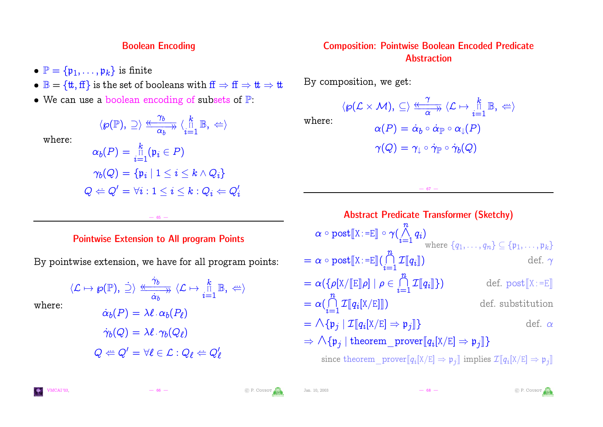#### Boolean Encoding

- $\bullet \mathbb{P} = {\mathfrak{p}_1, \ldots, \mathfrak{p}_k}$  is finite
- $\mathbb{B} = {\text{tt}, \text{ff}}$  is the set of booleans with  $\text{ff} \Rightarrow \text{ff} \Rightarrow \text{tt} \Rightarrow \text{tt}$
- $\bullet$  We can use a boolean encoding of subsets of  $\mathbb{P} \colon$

$$
\langle \wp(\mathbb{P}),\, \supseteq \rangle \xrightarrow[\alpha_b]{\gamma_b} \langle \begin{smallmatrix} k \\ \Pi \\ i=1 \end{smallmatrix} \mathbb{B},\, \Leftarrow \rangle
$$

where:

$$
\alpha_b(P) = \tfrac{k}{i=1} (\mathfrak{p}_i \in P)\\ \gamma_b(Q) = \{\mathfrak{p}_i \mid 1 \leq i \leq k \wedge Q_i\} \\ Q \Leftarrow Q' = \forall i: 1 \leq i \leq k: Q_i \Leftarrow Q_i'
$$

#### Pointwise Extension to All program Points

— 65 —

By pointwise extension, we have for all program points:

$$
\langle \mathcal{L} \mapsto \wp(\mathbb{P}), \exists \rangle \xrightarrow{\langle \gamma_b \rangle} \langle \mathcal{L} \mapsto \frac{k}{i!} \mathbb{B}, \Leftrightarrow \rangle
$$

$$
\dot{\alpha}_b(P) = \lambda \ell \cdot \alpha_b(P_\ell)
$$

$$
\dot{\gamma}_b(Q) = \lambda \ell \cdot \gamma_b(Q_\ell)
$$

where:

$$
\alpha_b \qquad i=1
$$
  

$$
\dot{\alpha}_b(P) = \lambda \ell \cdot \alpha_b(P_\ell)
$$
  

$$
\dot{\gamma}_b(Q) = \lambda \ell \cdot \gamma_b(Q_\ell)
$$
  

$$
Q \Leftrightarrow Q' = \forall \ell \in \mathcal{L} : Q_\ell \Leftrightarrow Q'_\ell
$$

### Composition: Pointwise Boolean Encoded Predicate Abstraction

By composition, we get:

where:

$$
\begin{aligned}\langle \wp(\mathcal{L}\times\mathcal{M}),\subseteq\rangle &\xrightarrow[\alpha\rightarrow]{\gamma}\langle\mathcal{L}\mapsto\frac{k}{i=1}\,\mathbb{B},\:\Leftrightarrow\rangle\\ &\alpha(P)=\dot{\alpha}_b\circ\dot{\alpha}_\mathbb{P}\circ\alpha_\downarrow(P)\\ &\gamma(Q)=\gamma_\downarrow\circ\dot{\gamma}_\mathbb{P}\circ\dot{\gamma}_b(Q)\end{aligned}
$$

 $- 67 -$ 

Abstract Predicate Transformer (Sketchy)  $\alpha \circ \text{post}[\![X:=E]\!] \circ \gamma($  $\bigwedge_{i=1}^n q_i)$ where  $\{q_1, \ldots, q_n\} \subseteq \{\mathfrak{p}_1, \ldots, \mathfrak{p}_k\}$  $\mathcal{I} = \alpha \circ \text{post}[\![\mathrm{X}\!]:=\!\!\mathrm{E}]\!](\bigcap\limits_{i=1}^n \mathcal{I}[\![q_i]\!]$  $\Box$ ) def.  $\gamma$  $= \alpha(\{\rho[\text{X}/[\![\text{E}]\!]\rho]\mid \rho\in$  $\prod_{i=1}^n \mathcal{I}\llbracket q_i \rrbracket \rbrace) \qquad\qquad \text{def. } \text{post}\llbracket \text{X} \text{:}=\text{E}\rrbracket$  $= \alpha($  $\bigcap_{i=1}^n \mathcal{I}[q_i]$ def. substitution  $= \bigwedge \{\mathfrak{p}_j \mid \mathcal{I}[\![q_i[\mathrm{X}/\mathrm{E}]\!]\Rightarrow \mathfrak{p}_j$ def.  $\alpha$  $\Rightarrow \bigwedge \{\mathfrak{p}_j \mid \text{theorem\_prover}\llbracket q_i[\text{X/E}] \Rightarrow \mathfrak{p}_j \rrbracket\}$ 

 $\text{since theorem\_prover}[\![q_i[\text{X}/\text{E}]\Rightarrow \mathfrak{p}_j]\!] \text{ implies } \mathcal{I}[\![q_i[\text{X}/\text{E}]\Rightarrow \mathfrak{p}_j]\!]$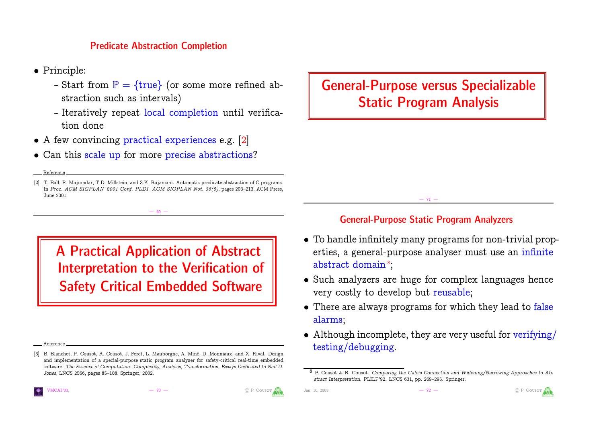### Predicate Abstraction Completion

- › Principle:
	- Start from  $\mathbb{P} = \{true\}$  (or some more refined abstraction such as intervals)
	- Iteratively repeat local completion until verification done
- A few convincing practical experiences e.g. [\[2\]](#page-17-1)
- <span id="page-17-1"></span>• Can this scale up for more precise abstractions?

Reference

[2] T. Ball, R. Majumdar, T.D. Millstein, and S.K. Rajamani. Automatic predicate abstraction of C programs. In Proc. ACM SIGPLAN 2001 Conf. PLDI. ACM SIGPLAN Not. 36(5), pages 203–213. ACM Press, June 2001.

— 69 —

A Practical Application of Abstract Interpretation to the Verification of Safety Critical Embedded Software

Reference

## General-Purpose versus Specializable Static Program Analysis

### General-Purpose Static Program Analyzers

 $-71$ 

- To handle infinitely many programs for non-trivial properties, a general[-p](#page-17-2)urpose analyser must use an infinite abstract domain<sup>8</sup>;
- <span id="page-17-2"></span>• Such analyzers are huge for complex languages hence very costly to develop but reusable;
- There are always programs for which they lead to false alarms;
- Although incomplete, they are very useful for verifying/ testing/debugging.







<span id="page-17-0"></span><sup>[3]</sup> B. Blanchet, P. Cousot, R. Cousot, J. Feret, L. Mauborgne, A. Miné, D. Monniaux, and X. Rival. Design and implementation of a special-purpose static program analyzer for safety-critical real-time embedded software. The Essence of Computation: Complexity, Analysis, Transformation. Essays Dedicated to Neil D. Jones, LNCS 2566, pages 85–108. Springer, 2002.

<sup>8</sup> P. Cousot & R. Cousot. Comparing the Galois Connection and Widening/Narrowing Approaches to Abstract Interpretation. PLILP'92. LNCS 631, pp. 269–295. Springer.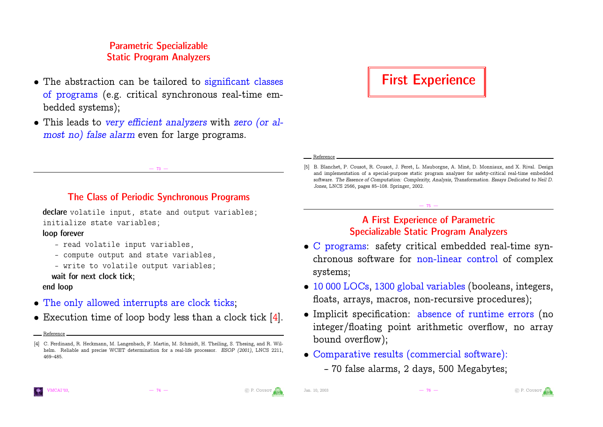### Parametric Specializable Static Program Analyzers

- The abstraction can be tailored to significant classes of programs (e.g. critical synchronous real-time embedded systems);
- This leads to very efficient analyzers with zero (or almost no) false alarm even for large programs.

#### The Class of Periodic Synchronous Programs

 $-73 -$ 

declare volatile input, state and output variables; initialize state variables;

#### loop forever

- read volatile input variables,
- compute output and state variables,
- write to volatile output variables;
- wait for next clock tick;

#### end loop

- The only allowed interrupts are clock ticks;
- Execution time of loop body less than a clock tick [\[4\]](#page-18-0).
- Reference

## First Experience

Reference

#### A First Experience of Parametric Specializable Static Program Analyzers

 $-75 -$ 

- › C programs: safety critical embedded real-time synchronous software for non-linear control of complex systems;
- 10 000 LOCs, 1300 global variables (booleans, integers, floats, arrays, macros, non-recursive procedures);
- Implicit specification: absence of runtime errors (no integer/floating point arithmetic overflow, no array bound overflow);
- › Comparative results (commercial software): -- 70 false alarms, 2 days, 500 Megabytes;



[VMCAI'03,](http://www.cs.nyu.edu/vmcai03/) — 74 — ľ P. Couso[t](http://www.di.ens.fr/) Jan. 10, 2003 — 76 — ľ P. Couso[t](http://www.di.ens.fr/)

<span id="page-18-0"></span><sup>[4]</sup> C. Ferdinand, R. Heckmann, M. Langenbach, F. Martin, M. Schmidt, H. Theiling, S. Thesing, and R. Wilhelm. Reliable and precise WCET determination for a real-life processor. ESOP (2001), LNCS 2211, 469–485.

<sup>[5]</sup> B. Blanchet, P. Cousot, R. Cousot, J. Feret, L. Mauborgne, A. Miné, D. Monniaux, and X. Rival. Design and implementation of a special-purpose static program analyzer for safety-critical real-time embedded software. The Essence of Computation: Complexity, Analysis, Transformation. Essays Dedicated to Neil D. Jones, LNCS 2566, pages 85–108. Springer, 2002.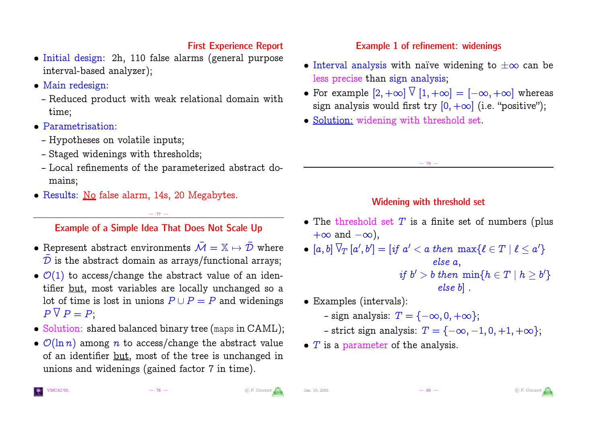### First Experience Report

- Initial design: 2h, 110 false alarms (general purpose interval-based analyzer);
- › Main redesign:
	- -- Reduced product with weak relational domain with time;
- › Parametrisation:
- -- Hypotheses on volatile inputs;
- Staged widenings with thresholds;
- -- Local refinements of the parameterized abstract domains;
- Results: No false alarm, 14s, 20 Megabytes.

### Example of a Simple Idea That Does Not Scale Up

 $-77 -$ 

- Represent abstract environments  $\overline{\mathcal{M}} = \mathbb{X} \mapsto \overline{\mathcal{D}}$  where  $\mathcal D$  is the abstract domain as arrays/functional arrays;
- $\bullet$   $\mathcal{O}(1)$  to access/change the abstract value of an identifier <u>but</u>, most variables are locally unchanged so a lot of time is lost in unions  $P \cup P = P$  and widenings  $P \nabla P = P;$
- Solution: shared balanced binary tree (maps in CAML);
- $\mathcal{O}(\ln n)$  among *n* to access/change the abstract value of an identifier but, most of the tree is unchanged in unions and widenings (gained factor 7 in time).

## Example 1 of refinement: widenings

- Interval analysis with naïve widening to  $\pm \infty$  can be less precise than sign analysis;
- For example  $[2, +\infty]$   $\overline{\vee}$   $[1, +\infty] = [-\infty, +\infty]$  whereas sign analysis would first try  $[0, +\infty]$  (i.e. "positive");
- › Solution: widening with threshold set.

### Widening with threshold set

 $-79 -$ 

- The threshold set  $T$  is a finite set of numbers (plus  $+\infty$  and  $-\infty$ ),
- $[a, b]$   $\overline{\vee}_T$   $[a', b'] = [if a' < a then \ \max\{\ell \in T \mid \ell \leq a'\}$ else a; if  $b' > b$  then  $\min\{h \in T \mid h \geq b'\}$ else b] :
- › Examples (intervals):
	- sign analysis:  $T = \{-\infty, 0, +\infty\};$
	- strict sign analysis:  $T = \{-\infty, -1, 0, +1, +\infty\};$
- $\bullet$  T is a parameter of the analysis.

[VMCAI'03,](http://www.cs.nyu.edu/vmcai03/) — 78 — ľ P. Couso[t](http://www.di.ens.fr/) Jan. 10, 2003 — 80 — ľ P. Couso[t](http://www.di.ens.fr/)

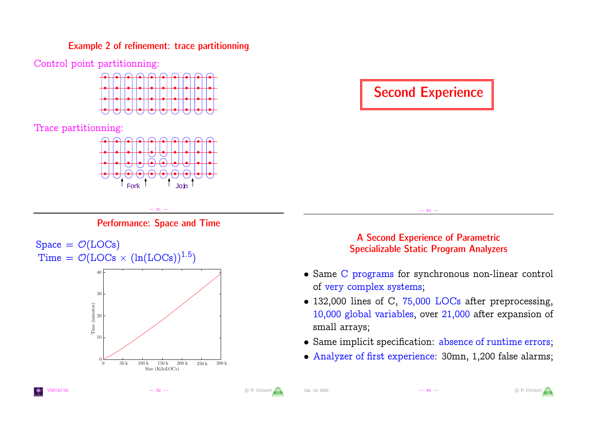#### Example 2 of refinement: trace partitionning

Control point partitionning:



Trace partitionning:



#### $-81 -$ Performance: Space and Time





#### A Second Experience of Parametric Specializable Static Program Analyzers

 $-83$ 

- › Same C programs for synchronous non-linear control of very complex systems;
- 132,000 lines of C, 75,000 LOCs after preprocessing, 10,000 global variables, over 21,000 after expansion of small arrays;
- Same implicit specification: absence of runtime errors;
- › Analyzer of first experience: 30mn, 1,200 false alarms;









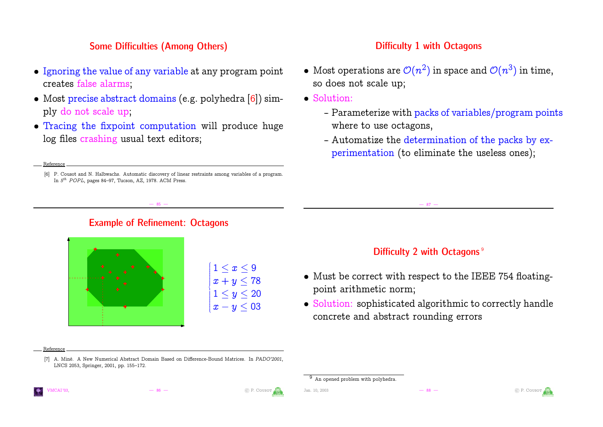#### Some Difficulties (Among Others)

- Ignoring the value of any variable at any program point creates false alarms;
- › Most precise abstract domains (e.g. polyhedra [\[6\]](#page-21-0)) simply do not scale up;
- Tracing the fixpoint computation will produce huge log files crashing usual text editors;

#### <span id="page-21-0"></span>Reference

[6] P. Cousot and N. Halbwachs. Automatic discovery of linear restraints among variables of a program. In  $5<sup>th</sup>$  POPL, pages 84-97, Tucson, AZ, 1978. ACM Press.

#### Example of Refinement: Octagons

— 85 —



#### Reference

[7] A. Miné. A New Numerical Abstract Domain Based on Difference-Bound Matrices. In PADO'2001, LNCS 2053, Springer, 2001, pp. 155–172.

#### Difficulty 1 with Octagons

- $\bullet \,$  Most operations are  $\mathcal{O}(n^2)$  in space and  $\mathcal{O}(n^3)$  in time, so does not scale up;
- › Solution:
	- -- Parameterize with packs of variables/program points where to use octagons,
	- Automatize the determination of the packs by experimentation (to eliminate the useless ones);

#### Difficulty 2 with Octagons [9](#page-21-1)

 $-87 -$ 

- › Must be correct with respect to the IEEE 754 floatingpoint arithmetic norm;
- Solution: sophisticated algorithmic to correctly handle concrete and abstract rounding errors







<span id="page-21-1"></span>



An opened problem with polyhedra.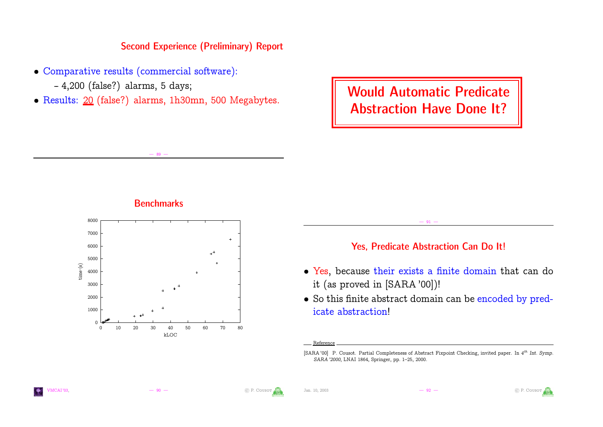#### Second Experience (Preliminary) Report

- › Comparative results (commercial software):
	- $-4,200$  (false?) alarms, 5 days;
- Results: 20 (false?) alarms, 1h30mn, 500 Megabytes.

Would Automatic Predicate Abstraction Have Done It?

 $-$  89  $-$ 







 $-91$ 

- <span id="page-22-0"></span>› Yes, because their exists a finite domain that can do it (as proved in [SARA '00])!
- › So this finite abstract domain can be encoded by predicate abstraction!





Reference

<sup>[</sup>SARA '00] P. Cousot. Partial Completeness of Abstract Fixpoint Checking, invited paper. In 4<sup>th</sup> Int. Symp. SARA '2000, LNAI 1864, Springer, pp. 1–25, 2000.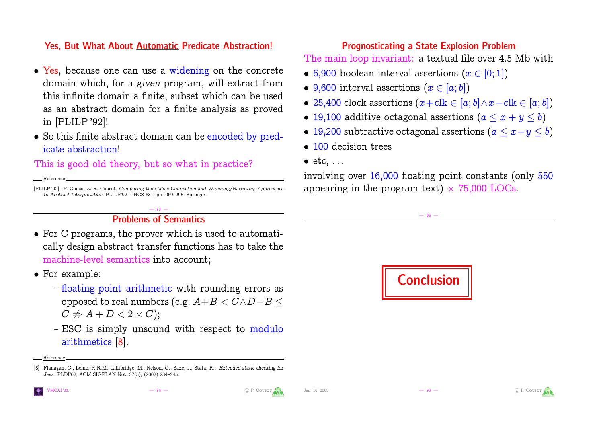### Yes, But What About Automatic Predicate Abstraction!

- Yes, because one can use a widening on the concrete domain which, for a given program, will extract from this infinite domain a finite, subset which can be used as an abstract domain for a finite analysis as proved in [PLILP '92]!
- So this finite abstract domain can be encoded by predicate abstraction!

### This is good old theory, but so what in practice?

Reference

[PLILP '92] P. Cousot & R. Cousot. Comparing the Galois Connection and Widening/Narrowing Approaches to Abstract Interpretation. PLILP'92. LNCS 631, pp. 269–295. Springer.

#### $-93 -$ Problems of Semantics

- For C programs, the prover which is used to automatically design abstract transfer functions has to take the machine-level semantics into account;
- › For example:
	- -floating-point arithmetic with rounding errors as opposed to real numbers (e.g.  $A+B < C\wedge D-B \leq$  $C \nRightarrow A + D < 2 \times C$ :
	- ESC is simply unsound with respect to modulo arithmetics [\[8\]](#page-23-1).

Reference

#### Prognosticating a State Explosion Problem

The main loop invariant: a textual file over 4.5 Mb with

- 6,900 boolean interval assertions  $(x \in [0; 1])$
- 9,600 interval assertions  $(x \in [a, b])$
- 25,400 clock assertions  $(x + c$ lk  $\in [a; b] \wedge x c$ lk  $\in [a; b]$ )
- 19,100 additive octagonal assertions  $(a \leq x + y \leq b)$
- 19,200 subtractive octagonal assertions  $(a \le x y \le b)$
- 100 decision trees
- $\bullet$  etc,  $\dots$

involving over 16,000 floating point constants (only 550 appearing in the program text)  $\times$  75,000 LOCs.

 $-$  95  $-$ 

<span id="page-23-0"></span>





<span id="page-23-1"></span><sup>[8]</sup> Flanagan, C., Leino, K.R.M., Lillibridge, M., Nelson, G., Saxe, J., Stata, R.: Extended static checking for Java. PLDI'02, ACM SIGPLAN Not. 37(5), (2002) 234–245.